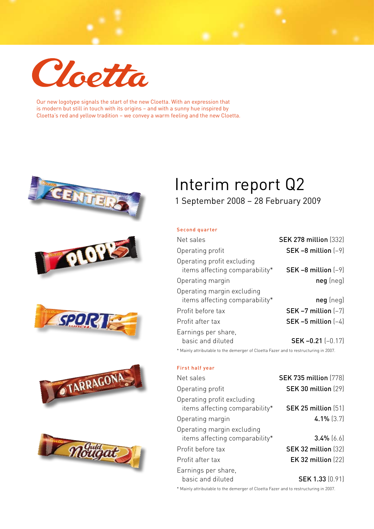

Our new logotype signals the start of the new Cloetta. With an expression that is modern but still in touch with its origins – and with a sunny hue inspired by Cloetta's red and yellow tradition – we convey a warm feeling and the new Cloetta.











# Interim report Q2

# 1 September 2008 – 28 February 2009

### Second quarter

| Net sales                                                    | <b>SEK 278 million (332)</b> |
|--------------------------------------------------------------|------------------------------|
| Operating profit                                             | SEK $-8$ million $(-9)$      |
| Operating profit excluding<br>items affecting comparability* | SEK $-8$ million $(-9)$      |
| Operating margin                                             | $neg$ (neg)                  |
| Operating margin excluding<br>items affecting comparability* | $neg$ (neg)                  |
| Profit before tax                                            | SEK $-7$ million $(-7)$      |
| Profit after tax                                             | SEK $-5$ million $(-4)$      |
| Earnings per share,<br>basic and diluted                     | SEK $-0.21$ $(-0.17)$        |

\* Mainly attributable to the demerger of Cloetta Fazer and to restructuring in 2007.

### First half year

| Net sales                                                    | <b>SEK 735 million [778]</b> |
|--------------------------------------------------------------|------------------------------|
| Operating profit                                             | <b>SEK 30 million (29)</b>   |
| Operating profit excluding<br>items affecting comparability* | <b>SEK 25 million (51)</b>   |
| Operating margin                                             | $4.1\%$ (3.7)                |
| Operating margin excluding<br>items affecting comparability* | $3.4\%$ [6.6]                |
| Profit before tax                                            | <b>SEK 32 million (32)</b>   |
| Profit after tax                                             | EK 32 million $(22)$         |
| Earnings per share,<br>basic and diluted                     | <b>SEK 1.33 (0.91)</b>       |

\* Mainly attributable to the demerger of Cloetta Fazer and to restructuring in 2007.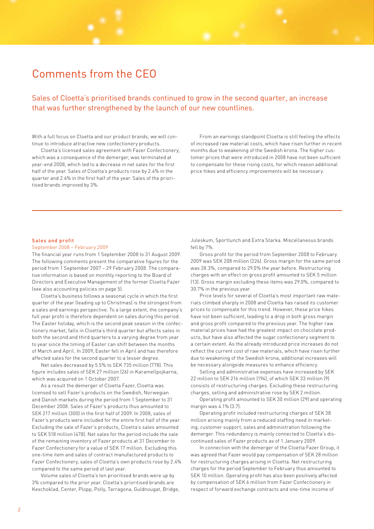# Comments from the CEO

Sales of Cloetta's prioritised brands continued to grow in the second quarter, an increase that was further strengthened by the launch of our new countlines.

With a full focus on Cloetta and our product brands, we will continue to introduce attractive new confectionery products.

Cloetta's licensed sales agreement with Fazer Confectionery, which was a consequence of the demerger, was terminated at year-end 2008, which led to a decrease in net sales for the first half of the year. Sales of Cloetta's products rose by 2.4% in the quarter and 2.6% in the first half of the year. Sales of the prioritised brands improved by 3%.

From an earnings standpoint Cloetta is still feeling the effects of increased raw material costs, which have risen further in recent months due to weakening of the Swedish krona. The higher customer prices that were introduced in 2008 have not been sufficient to compensate for these rising costs, for which reason additional price hikes and efficiency improvements will be necessary.

#### Sales and profit

#### September 2008 – February 2009

The financial year runs from 1 September 2008 to 31 August 2009. The following comments present the comparative figures for the period from 1 September 2007 – 29 February 2008. The comparative information is based on monthly reporting to the Board of Directors and Executive Management of the former Cloetta Fazer (see also accounting policies on page 5).

Cloetta's business follows a seasonal cycle in which the first quarter of the year (leading up to Christmas) is the strongest from a sales and earnings perspective. To a large extent, the company's full year profit is therefore dependent on sales during this period. The Easter holiday, which is the second peak season in the confectionery market, falls in Cloetta's third quarter but affects sales in both the second and third quarters to a varying degree from year to year since the timing of Easter can shift between the months of March and April. In 2009, Easter fell in April and has therefore affected sales for the second quarter to a lesser degree.

Net sales decreased by 5.5% to SEK 735 million (778). This figure includes sales of SEK 27 million (26) in Karamellpojkarna, which was acquired on 1 October 2007.

As a result the demerger of Cloetta Fazer, Cloetta was licensed to sell Fazer's products on the Swedish, Norwegian and Danish markets during the period from 1 September to 31 December 2008. Sales of Fazer's products thus amounted to SEK 217 million (300) in the first half of 2009. In 2008, sales of Fazer's products were included for the entire first half of the year. Excluding the sale of Fazer's products, Cloetta's sales amounted to SEK 518 million (478). Net sales for the period include the sale of the remaining inventory of Fazer products at 31 December to Fazer Confectionery for a value of SEK 17 million. Excluding this one-time item and sales of contract manufactured products to Fazer Confectionery, sales of Cloetta's own products rose by 2.4% compared to the same period of last year.

Volume sales of Cloetta's ten prioritised brands were up by 3% compared to the prior year. Cloetta's prioritised brands are Kexchoklad, Center, Plopp, Polly, Tarragona, Guldnougat, Bridge, Juleskum, Sportlunch and Extra Starka. Miscellaneous brands fell by 7%.

Gross profit for the period from September 2008 to February 2009 was SEK 208 million (226). Gross margin for the same period was 28.3%, compared to 29.0% the year before. Restructuring charges with an effect on gross profit amounted to SEK 5 million (13). Gross margin excluding these items was 29.0%, compared to 30.7% in the previous year.

Price levels for several of Cloetta's most important raw materials climbed sharply in 2008 and Cloetta has raised its customer prices to compensate for this trend. However, these price hikes have not been sufficient, leading to a drop in both gross margin and gross profit compared to the previous year. The higher raw material prices have had the greatest impact on chocolate products, but have also affected the sugar confectionery segment to a certain extent. As the already introduced price increases do not reflect the current cost of raw materials, which have risen further due to weakening of the Swedish krona, additional increases will be necessary alongside measures to enhance efficiency.

Selling and administrative expenses have increased by SEK 22 million to SEK 216 million (194), of which SEK 33 million (9) consists of restructuring charges. Excluding these restructuring charges, selling and administrative rose by SEK 2 million.

Operating profit amounted to SEK 30 million (29) and operating margin was 4.1% (3.7).

Operating profit included restructuring charges of SEK 38 million arising mainly from a reduced staffing need in marketing, customer support, sales and administration following the demerger. This redundancy is mainly connected to Cloetta's discontinued sales of Fazer products as of 1 January 2009.

In connection with the demerger of the Cloetta Fazer Group, it was agreed that Fazer would pay compensation of SEK 28 million for restructuring charges arising in Cloetta. Net restructuring charges for the period September to February thus amounted to SEK 10 million. Operating profit has also been positively affected by compensation of SEK 6 million from Fazer Confectionery in respect of forward exchange contracts and one-time income of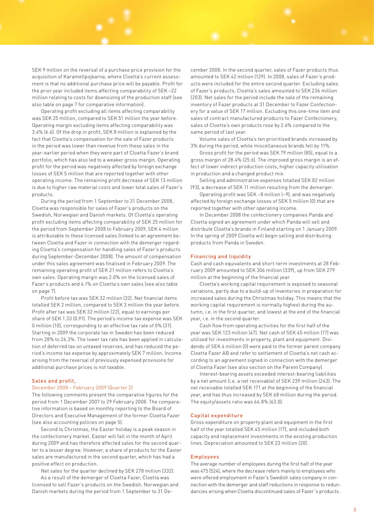SEK 9 million on the reversal of a purchase price provision for the acquisition of Karamellpojkarna, where Cloetta's current assessment is that no additional purchase price will be payable. Profit for the prior year included items affecting comparability of SEK –22 million relating to costs for downsizing of the production staff (see also table on page 7 for comparative information).

Operating profit excluding all items affecting comparability was SEK 25 million, compared to SEK 51 million the year before. Operating margin excluding items affecting comparability was 3.4% (6.6). Of the drop in profit, SEK 8 million is explained by the fact that Cloetta's compensation for the sale of Fazer products in the period was lower than revenue from these sales in the year-earlier period when they were part of Cloetta Fazer's brand portfolio, which has also led to a weaker gross margin. Operating profit for the period was negatively affected by foreign exchange losses of SEK 5 million that are reported together with other operating income. The remaining profit decrease of SEK 13 million is due to higher raw material costs and lower total sales of Fazer's products.

During the period from 1 September to 31 December 2008, Cloetta was responsible for sales of Fazer's products on the Swedish, Norwegian and Danish markets. Of Cloetta's operating profit excluding items affecting comparability of SEK 25 million for the period from September 2008 to February 2009, SEK 4 million is attributable to these licensed sales (linked to an agreement between Cloetta and Fazer in connection with the demerger regarding Cloetta's compensation for handling sales of Fazer's products during September-December 2008). The amount of compensation under this sales agreement was finalised in February 2009. The remaining operating profit of SEK 21 million refers to Cloetta's own sales. Operating margin was 2.0% on the licensed sales of Fazer's products and 4.1% on Cloetta's own sales (see also table on page 7).

Profit before tax was SEK 32 million (32). Net financial items totalled SEK 2 million, compared to SEK 3 million the year before. Profit after tax was SEK 32 million (22), equal to earnings per share of SEK 1.33 (0.91). The period's income tax expense was SEK 0 million (10), corresponding to an effective tax rate of 0% (31). Starting in 2009 the corporate tax in Sweden has been reduced from 28% to 26.3%. The lower tax rate has been applied in calculation of deferred tax on untaxed reserves, and has reduced the period's income tax expense by approximately SEK 7 million. Income arising from the reversal of previously expensed provisions for additional purchase prices is not taxable.

### Sales and profit,

### December 2008 – February 2009 (Quarter 2)

The following comments present the comparative figures for the period from 1 December 2007 to 29 February 2008. The comparative information is based on monthly reporting to the Board of Directors and Executive Management of the former Cloetta Fazer (see also accounting policies on page 5).

Second to Christmas, the Easter holiday is a peak season in the confectionery market. Easter will fall in the month of April during 2009 and has therefore affected sales for the second quarter to a lesser degree. However, a share of products for the Easter sales are manufactured in the second quarter, which has had a positive effect on production.

Net sales for the quarter declined by SEK 278 million (332).

As a result of the demerger of Cloetta Fazer, Cloetta was licensed to sell Fazer's products on the Swedish, Norwegian and Danish markets during the period from 1 September to 31 December 2008. In the second quarter, sales of Fazer products thus amounted to SEK 42 million (129). In 2008, sales of Fazer's products were included for the entire second quarter. Excluding sales of Fazer's products, Cloetta's sales amounted to SEK 236 million (203). Net sales for the period include the sale of the remaining inventory of Fazer products at 31 December to Fazer Confectionery for a value of SEK 17 million. Excluding this one-time item and sales of contract manufactured products to Fazer Confectionery, sales of Cloetta's own products rose by 2.6% compared to the same period of last year.

Volume sales of Cloetta's ten prioritised brands increased by 3% during the period, while miscellaneous brands fell by 11%.

Gross profit for the period was SEK 79 million (85), equal to a gross margin of 28.4% (25.6). The improved gross margin is an effect of lower indirect production costs, higher capacity utilisation in production and a changed product mix.

Selling and administrative expenses totalled SEK 82 million (93), a decrease of SEK 11 million resulting from the demerger.

Operating profit was SEK –8 million (–9), and was negatively affected by foreign exchange losses of SEK 5 million (0) that are reported together with other operating income.

In December 2008 the confectionery companies Panda and Cloetta signed an agreement under which Panda will sell and distribute Cloetta's brands in Finland starting on 1 January 2009. In the spring of 2009 Cloetta will begin selling and distributing products from Panda in Sweden.

#### Financing and liquidity

Cash and cash equivalents and short-term investments at 28 February 2009 amounted to SEK 306 million (339), up from SEK 279 million at the beginning of the financial year.

Cloetta's working capital requirement is exposed to seasonal variations, partly due to a build-up of inventories in preparation for increased sales during the Christmas holiday. This means that the working capital requirement is normally highest during the autumn, i.e. in the first quarter, and lowest at the end of the financial year, i.e. in the second quarter.

Cash flow from operating activities for the first half of the year was SEK 123 million (47). Net cash of SEK 45 million (17) was utilised for investments in property, plant and equipment. Dividends of SEK 4 million (0) were paid to the former parent company Cloetta Fazer AB and refer to settlement of Cloetta's net cash according to an agreement signed in connection with the demerger of Cloetta Fazer (see also section on the Parent Company).

Interest-bearing assets exceeded interest-bearing liabilities by a net amount (i.e. a net receivable) of SEK 239 million (243). The net receivable totalled SEK 171 at the beginning of the financial year, and has thus increased by SEK 68 million during the period. The equity/assets ratio was 64.8% (63.0).

#### Capital expenditure

Gross expenditure on property plant and equipment in the first half of the year totalled SEK 45 million (17), and included both capacity and replacement investments in the existing production lines. Depreciation amounted to SEK 23 million (20).

### Employees

The average number of employees during the first half of the year was 475 (524), where the decrease refers mainly to employees who were offered employment in Fazer's Swedish sales company in connection with the demerger and staff reductions in response to redundancies arising when Cloetta discontinued sales of Fazer´s products.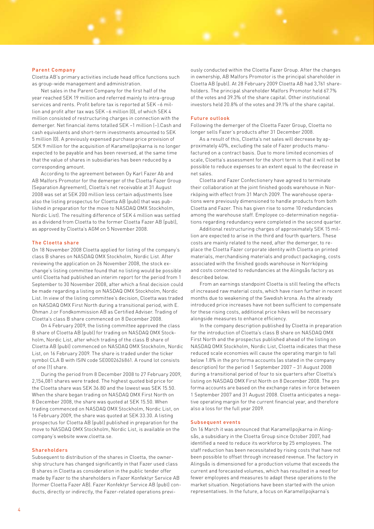#### Parent Company

Cloetta AB's primary activities include head office functions such as group-wide management and administration.

Net sales in the Parent Company for the first half of the year reached SEK 19 million and referred mainly to intra-group services and rents. Profit before tax is reported at SEK –6 million and profit after tax was SEK –6 million (0), of which SEK 4 million consisted of restructuring charges in connection with the demerger. Net financial items totalled SEK –1 million (–).Cash and cash equivalents and short-term investments amounted to SEK 5 million (0). A previously expensed purchase price provision of SEK 9 million for the acquisition of Karamellpojkarna is no longer expected to be payable and has been reversed, at the same time that the value of shares in subsidiaries has been reduced by a corresponding amount.

According to the agreement between Oy Karl Fazer Ab and AB Malfors Promotor for the demerger of the Cloetta Fazer Group (Separation Agreement), Cloetta's net receivable at 31 August 2008 was set at SEK 200 million less certain adjustments (see also the listing prospectus for Cloetta AB (publ) that was published in preparation for the move to NASDAQ OMX Stockholm, Nordic List). The resulting difference of SEK 4 million was settled as a dividend from Cloetta to the former Cloetta Fazer AB (publ), as approved by Cloetta's AGM on 5 November 2008.

#### The Cloetta share

On 18 November 2008 Cloetta applied for listing of the company's class B shares on NASDAQ OMX Stockholm, Nordic List. After reviewing the application on 26 November 2008, the stock exchange's listing committee found that no listing would be possible until Cloetta had published an interim report for the period from 1 September to 30 November 2008, after which a final decision could be made regarding a listing on NASDAQ OMX Stockholm, Nordic List. In view of the listing committee's decision, Cloetta was traded on NASDAQ OMX First North during a transitional period, with E. Öhman J:or Fondkommission AB as Certified Adviser. Trading of Cloetta's class B share commenced on 8 December 2008.

On 4 February 2009, the listing committee approved the class B share of Cloetta AB (publ) for trading on NASDAQ OMX Stockholm, Nordic List, after which trading of the class B share of Cloetta AB (publ) commenced on NASDAQ OMX Stockholm, Nordic List, on 16 February 2009. The share is traded under the ticker symbol CLA B with ISIN code SE0002626861. A round lot consists of one (1) share.

During the period from 8 December 2008 to 27 February 2009, 2,154,081 shares were traded. The highest quoted bid price for the Cloetta share was SEK 36.80 and the lowest was SEK 15.50. When the share began trading on NASDAQ OMX First North on 8 December 2008, the share was quoted at SEK 15.50. When trading commenced on NASDAQ OMX Stockholm, Nordic List, on 16 February 2009, the share was quoted at SEK 33.30. A listing prospectus for Cloetta AB (publ) published in preparation for the move to NASDAQ OMX Stockholm, Nordic List, is available on the company's website www.cloetta.se.

### Shareholders

Subsequent to distribution of the shares in Cloetta, the ownership structure has changed significantly in that Fazer used class B shares in Cloetta as consideration in the public tender offer made by Fazer to the shareholders in Fazer Konfektyr Service AB (former Cloetta Fazer AB). Fazer Konfektyr Service AB (publ) conducts, directly or indirectly, the Fazer-related operations previ-

ously conducted within the Cloetta Fazer Group. After the changes in ownership, AB Malfors Promotor is the principal shareholder in Cloetta AB (publ). At 28 February 2009 Cloetta AB had 3,761 shareholders. The principal shareholder Malfors Promotor held 67.7% of the votes and 39.3% of the share capital. Other institutional investors held 20.8% of the votes and 39.1% of the share capital.

#### Future outlook

Following the demerger of the Cloetta Fazer Group, Cloetta no longer sells Fazer's products after 31 December 2008.

As a result of this, Cloetta's net sales will decrease by approximately 40%, excluding the sale of Fazer products manufactured on a contract basis. Due to more limited economies of scale, Cloetta's assessment for the short term is that it will not be possible to reduce expenses to an extent equal to the decrease in net sales.

Cloetta and Fazer Confectionery have agreed to terminate their collaboration at the joint finished goods warehouse in Norrköping with effect from 31 March 2009. The warehouse operations were previously dimensioned to handle products from both Cloetta and Fazer. This has given rise to some 10 redundancies among the warehouse staff. Employee co-determination negotiations regarding redundancy were completed in the second quarter.

Additional restructuring charges of approximately SEK 15 million are expected to arise in the third and fourth quarters. These costs are mainly related to the need, after the demerger, to replace the Cloetta Fazer corporate identity with Cloetta on printed materials, merchandising materials and product packaging, costs associated with the finished goods warehouse in Norrköping and costs connected to redundancies at the Alingsås factory as described below.

From an earnings standpoint Cloetta is still feeling the effects of increased raw material costs, which have risen further in recent months due to weakening of the Swedish krona. As the already introduced price increases have not been sufficient to compensate for these rising costs, additional price hikes will be necessary alongside measures to enhance efficiency.

In the company description published by Cloetta in preparation for the introduction of Cloetta's class B share on NASDAQ OMX First North and the prospectus published ahead of the listing on NASDAQ OMX Stockholm, Nordic List, Cloetta indicates that these reduced scale economies will cause the operating margin to fall below 1.8% in the pro forma accounts (as stated in the company description) for the period 1 September 2007 – 31 August 2008 during a transitional period of four to six quarters after Cloetta's listing on NASDAQ OMX First North on 8 December 2008. The pro forma accounts are based on the exchange rates in force between 1 September 2007 and 31 August 2008. Cloetta anticipates a negative operating margin for the current financial year, and therefore also a loss for the full year 2009.

#### Subsequent events

On 16 March it was announced that Karamellpojkarna in Alingsås, a subsidiary in the Cloetta Group since October 2007, had identified a need to reduce its workforce by 25 employees. The staff reduction has been necessitated by rising costs that have not been possible to offset through increased revenue. The factory in Alingsås is dimensioned for a production volume that exceeds the current and forecasted volumes, which has resulted in a need for fewer employees and measures to adapt these operations to the market situation. Negotiations have been started with the union representatives. In the future, a focus on Karamellpojkarna's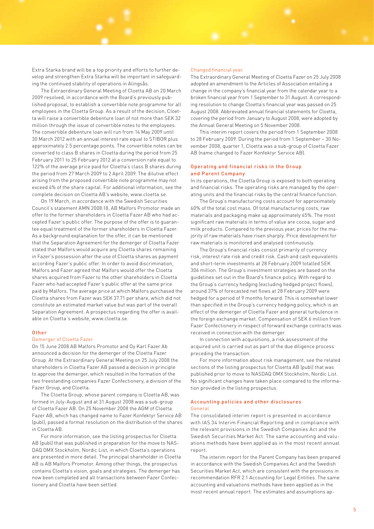Extra Starka brand will be a top priority and efforts to further develop and strengthen Extra Starka will be important in safeguarding the continued stability of operations in Alingsås.

The Extraordinary General Meeting of Cloetta AB on 20 March 2009 resolved, in accordance with the Board's previously published proposal, to establish a convertible note programme for all employees in the Cloetta Group. As a result of the decision, Cloetta will raise a convertible debenture loan of not more than SEK 32 million through the issue of convertible notes to the employees. The convertible debenture loan will run from 14 May 2009 until 30 March 2012 with an annual interest rate equal to STIBOR plus approximately 2.5 percentage points. The convertible notes can be converted to class B shares in Cloetta during the period from 25 February 2011 to 25 February 2012 at a conversion rate equal to 122% of the average price paid for Cloetta's class B shares during the period from 27 March 2009 to 2 April 2009. The dilutive effect arising from the proposed convertible note programme may not exceed 4% of the share capital. For additional information, see the complete decision on Cloetta AB's website, www.cloetta.se.

On 19 March, in accordance with the Swedish Securities Council's statement AMN 2008:18, AB Malfors Promotor made an offer to the former shareholders in Cloetta Fazer AB who had accepted Fazer's public offer. The purpose of the offer is to guarantee equal treatment of the former shareholders in Cloetta Fazer. As a background explanation for the offer, it can be mentioned that the Separation Agreement for the demerger of Cloetta Fazer stated that Malfors would acquire any Cloetta shares remaining in Fazer's possession after the use of Cloetta shares as payment according Fazer's public offer. In order to avoid discrimination, Malfors and Fazer agreed that Malfors would offer the Cloetta shares acquired from Fazer to the other shareholders in Cloetta Fazer who had accepted Fazer's public offer at the same price paid by Malfors. The average price at which Malfors purchased the Cloetta shares from Fazer was SEK 37.71 per share, which did not constitute an estimated market value but was part of the overall Separation Agreement. A prospectus regarding the offer is available on Cloetta´s website, www.cloetta.se.

### Other

#### Demerger of Cloetta Fazer

On 15 June 2008 AB Malfors Promotor and Oy Karl Fazer Ab announced a decision for the demerger of the Cloetta Fazer Group. At the Extraordinary General Meeting on 25 July 2008 the shareholders in Cloetta Fazer AB passed a decision in principle to approve the demerger, which resulted in the formation of the two freestanding companies Fazer Confectionery, a division of the Fazer Group, and Cloetta.

The Cloetta Group, whose parent company is Cloetta AB, was formed in July-August and at 31 August 2008 was a sub-group of Cloetta Fazer AB. On 25 November 2008 the AGM of Cloetta Fazer AB, which has changed name to Fazer Konfektyr Service AB (publ), passed a formal resolution on the distribution of the shares in Cloetta AB.

For more information, see the listing prospectus for Cloetta AB (publ) that was published in preparation for the move to NAS-DAQ OMX Stockholm, Nordic List, in which Cloetta's operations are presented in more detail. The principal shareholder in Cloetta AB is AB Malfors Promotor. Among other things, the prospectus contains Cloetta's vision, goals and strategies. The demerger has now been completed and all transactions between Fazer Confectionery and Cloetta have been settled.

#### Changed financial year

The Extraordinary General Meeting of Cloetta Fazer on 25 July 2008 adopted an amendment to the Articles of Association entailing a change in the company's financial year from the calendar year to a broken financial year from 1 September to 31 August. A corresponding resolution to change Cloetta's financial year was passed on 25 August 2008. Abbreviated annual financial statements for Cloetta, covering the period from January to August 2008, were adopted by the Annual General Meeting on 5 November 2008.

This interim report covers the period from 1 September 2008 to 28 February 2009. During the period from 1 September – 30 November 2008, quarter 1, Cloetta was a sub-group of Cloetta Fazer AB (name changed to Fazer Konfektyr Service AB).

### Operating and financial risks in the Group and Parent Company

In its operations, the Cloetta Group is exposed to both operating and financial risks. The operating risks are managed by the operating units and the financial risks by the central finance function.

The Group's manufacturing costs account for approximately 60% of the total cost mass. Of total manufacturing costs, raw materials and packaging make up approximately 65%. The most significant raw materials in terms of value are cocoa, sugar and milk products. Compared to the previous year, prices for the majority of raw materials have risen sharply. Price development for raw materials is monitored and analysed continuously.

The Group's financial risks consist primarily of currency risk, interest rate risk and credit risk. Cash and cash equivalents and short-term investments at 28 February 2009 totalled SEK 306 million. The Group's investment strategies are based on the guidelines set out in the Board's finance policy. With regard to the Group's currency hedging (excluding hedged project flows), around 37% of forecasted net flows at 28 February 2009 were hedged for a period of 9 months forward. This is somewhat lower than specified in the Group's currency hedging policy, which is an effect of the demerger of Cloetta Fazer and general turbulence in the foreign exchange market. Compensation of SEK 6 million from Fazer Confectionery in respect of forward exchange contracts was received in connection with the demerger.

In connection with acquisitions, a risk assessment of the acquired unit is carried out as part of the due diligence process preceding the transaction.

For more information about risk management, see the related sections of the listing prospectus for Cloetta AB (publ) that was published prior to move to NASDAQ OMX Stockholm, Nordic List. No significant changes have taken place compared to the information provided in the listing prospectus.

### Accounting policies and other disclosures General

The consolidated interim report is presented in accordance with IAS 34 Interim Financial Reporting and in compliance with the relevant provisions in the Swedish Companies Act and the Swedish Securities Market Act. The same accounting and valuations methods have been applied as in the most recent annual report.

The interim report for the Parent Company has been prepared in accordance with the Swedish Companies Act and the Swedish Securities Market Act, which are consistent with the provisions in recommendation RFR 2.1 Accounting for Legal Entities. The same accounting and valuations methods have been applied as in the most recent annual report. The estimates and assumptions ap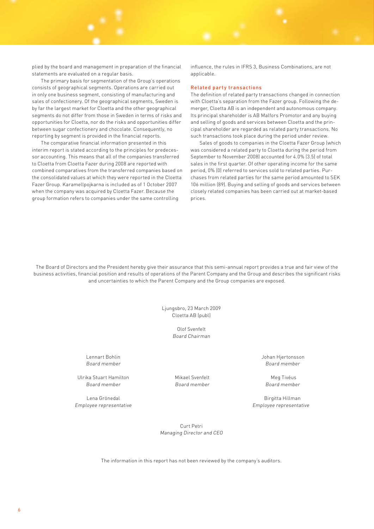plied by the board and management in preparation of the financial statements are evaluated on a regular basis.

The primary basis for segmentation of the Group's operations consists of geographical segments. Operations are carried out in only one business segment, consisting of manufacturing and sales of confectionery. Of the geographical segments, Sweden is by far the largest market for Cloetta and the other geographical segments do not differ from those in Sweden in terms of risks and opportunities for Cloetta, nor do the risks and opportunities differ between sugar confectionery and chocolate. Consequently, no reporting by segment is provided in the financial reports.

The comparative financial information presented in this interim report is stated according to the principles for predecessor accounting. This means that all of the companies transferred to Cloetta from Cloetta Fazer during 2008 are reported with combined comparatives from the transferred companies based on the consolidated values at which they were reported in the Cloetta Fazer Group. Karamellpojkarna is included as of 1 October 2007 when the company was acquired by Cloetta Fazer. Because the group formation refers to companies under the same controlling

influence, the rules in IFRS 3, Business Combinations, are not applicable.

#### Related party transactions

The definition of related party transactions changed in connection with Cloetta's separation from the Fazer group. Following the demerger, Cloetta AB is an independent and autonomous company. Its principal shareholder is AB Malfors Promotor and any buying and selling of goods and services between Cloetta and the principal shareholder are regarded as related party transactions. No such transactions took place during the period under review.

Sales of goods to companies in the Cloetta Fazer Group (which was considered a related party to Cloetta during the period from September to November 2008) accounted for 4.0% (3.5) of total sales in the first quarter. Of other operating income for the same period, 0% (0) referred to services sold to related parties. Purchases from related parties for the same period amounted to SEK 106 million (89). Buying and selling of goods and services between closely related companies has been carried out at market-based prices.

The Board of Directors and the President hereby give their assurance that this semi-annual report provides a true and fair view of the business activities, financial position and results of operations of the Parent Company and the Group and describes the significant risks and uncertainties to which the Parent Company and the Group companies are exposed.

> Ljungsbro, 23 March 2009 Cloetta AB (publ)

> > Olof Svenfelt Board Chairman

Lennart Bohlin Johan Hjertonsson

Ulrika Stuart Hamilton Mikael Svenfelt Meg Tivéus Board member Board member Board member

Lena Grönedal Birgitta Hillman

Board member Board member

Employee representative Employee representative

Curt Petri Managing Director and CEO

The information in this report has not been reviewed by the company's auditors.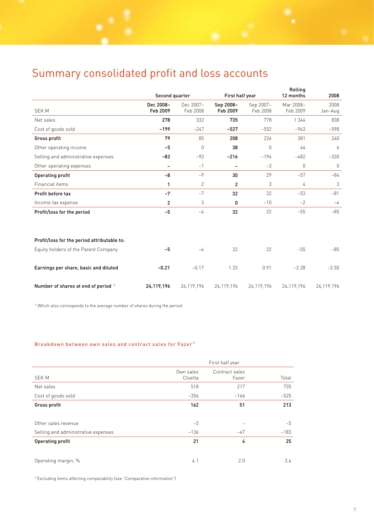# Summary consolidated profit and loss accounts

|                                             |                          |                       | First half year          |                       | Rolling<br>Second quarter<br>12 months |                 |
|---------------------------------------------|--------------------------|-----------------------|--------------------------|-----------------------|----------------------------------------|-----------------|
| <b>SEKM</b>                                 | Dec 2008-<br>Feb 2009    | Dec 2007-<br>Feb 2008 | Sep 2008-<br>Feb 2009    | Sep 2007-<br>Feb 2008 | Mar 2008-<br>Feb 2009                  | 2008<br>Jan-Aug |
| Net sales                                   | 278                      | 332                   | 735                      | 778                   | 1 3 4 4                                | 838             |
| Cost of goods sold                          | $-199$                   | $-247$                | $-527$                   | $-552$                | $-963$                                 | $-598$          |
| Gross profit                                | 79                       | 85                    | 208                      | 226                   | 381                                    | 240             |
| Other operating income                      | $-5$                     | $\theta$              | 38                       | $\overline{0}$        | 44                                     | 6               |
| Selling and administrative expenses         | $-82$                    | $-93$                 | $-216$                   | $-194$                | $-482$                                 | $-330$          |
| Other operating expenses                    | $\overline{\phantom{m}}$ | $-1$                  | $\overline{\phantom{0}}$ | $-3$                  | $\mathbf 0$                            | $\mathbf 0$     |
| <b>Operating profit</b>                     | $-8$                     | $-9$                  | 30                       | 29                    | $-57$                                  | $-84$           |
| Financial items                             | 1                        | $\overline{2}$        | $\overline{c}$           | 3                     | 4                                      | 3               |
| Profit before tax                           | $-7$                     | $-7$                  | 32                       | 32                    | $-53$                                  | $-81$           |
| Income tax expense                          | $\overline{c}$           | 3                     | 0                        | $-10$                 | $-2$                                   | $-4$            |
| Profit/loss for the period                  | $-5$                     | $-4$                  | 32                       | 22                    | $-55$                                  | $-85$           |
|                                             |                          |                       |                          |                       |                                        |                 |
| Profit/loss for the period attributable to: |                          |                       |                          |                       |                                        |                 |
| Equity holders of the Parent Company        | $-5$                     | $-4$                  | 32                       | 22                    | $-55$                                  | $-85$           |
| Earnings per share, basic and diluted       | $-0.21$                  | $-0.17$               | 1.33                     | 0.91                  | $-2.28$                                | $-3.50$         |
| Number of shares at end of period 11        | 24,119,196               | 24,119,196            | 24,119,196               | 24,119,196            | 24,119,196                             | 24,119,196      |

<sup>1)</sup> Which also corresponds to the average number of shares during the period.

### Breakdown between own sales and contract sales for Fazer<sup>11</sup>

|                                     | First half year      |                         |        |  |
|-------------------------------------|----------------------|-------------------------|--------|--|
| <b>SEKM</b>                         | Own sales<br>Cloetta | Contract sales<br>Fazer | Total  |  |
| Net sales                           | 518                  | 217                     | 735    |  |
| Cost of goods sold                  | $-356$               | $-166$                  | $-525$ |  |
| Gross profit                        | 162                  | 51                      | 213    |  |
|                                     |                      |                         |        |  |
| Other sales revenue                 | $-5$                 |                         | $-5$   |  |
| Selling and administrative expenses | $-136$               | $-47$                   | $-183$ |  |
| Operating profit                    | 21                   | 4                       | 25     |  |
|                                     |                      |                         |        |  |
| Operating margin, %                 | 4.1                  | 2.0                     | 3.4    |  |

1) Excluding items affecting comparability (see "Comparative information").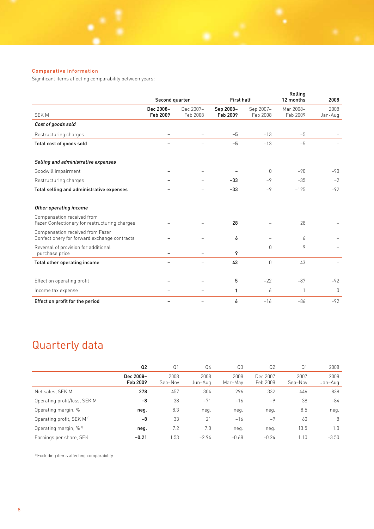# Comparative information

Significant items affecting comparability between years:

|                                                                                  | Second quarter        |                          | <b>First half</b>     |                       | Rolling<br>12 months  | 2008            |
|----------------------------------------------------------------------------------|-----------------------|--------------------------|-----------------------|-----------------------|-----------------------|-----------------|
| <b>SEKM</b>                                                                      | Dec 2008-<br>Feb 2009 | Dec 2007-<br>Feb 2008    | Sep 2008-<br>Feb 2009 | Sep 2007-<br>Feb 2008 | Mar 2008-<br>Feb 2009 | 2008<br>Jan-Aug |
| Cost of goods sold                                                               |                       |                          |                       |                       |                       |                 |
| Restructuring charges                                                            |                       |                          | -5                    | $-13$                 | $-5$                  |                 |
| Total cost of goods sold                                                         |                       |                          | $-5$                  | $-13$                 | $-5$                  |                 |
| Selling and administrative expenses                                              |                       |                          |                       |                       |                       |                 |
| Goodwill impairment                                                              |                       |                          |                       | $\mathbf{0}$          | $-90$                 | $-90$           |
| Restructuring charges                                                            |                       |                          | $-33$                 | $-9$                  | $-35$                 | $-2$            |
| Total selling and administrative expenses                                        |                       |                          | $-33$                 | $-9$                  | $-125$                | $-92$           |
| Other operating income                                                           |                       |                          |                       |                       |                       |                 |
| Compensation received from<br>Fazer Confectionery for restructuring charges      |                       |                          | 28                    |                       | 28                    |                 |
| Compensation received from Fazer<br>Confectionery for forward exchange contracts |                       |                          | 6                     |                       | 6                     |                 |
| Reversal of provision for additional<br>purchase price                           |                       |                          | 9                     | $\Omega$              | 9                     |                 |
| Total other operating income                                                     |                       |                          | 43                    | $\Omega$              | 43                    |                 |
| Effect on operating profit                                                       |                       |                          | 5                     | $-22$                 | $-87$                 | $-92$           |
| Income tax expense                                                               |                       | $\equiv$                 | 1                     | 6                     | 1                     | $\mathbf{0}$    |
| Effect on profit for the period                                                  |                       | $\overline{\phantom{0}}$ | 6                     | $-16$                 | $-86$                 | $-92$           |

# Quarterly data

|                                       | Q <sub>2</sub>        | Q <sub>1</sub>  | Q4              | Q3              | Q <sub>2</sub>       | Q <sub>1</sub>  | 2008            |
|---------------------------------------|-----------------------|-----------------|-----------------|-----------------|----------------------|-----------------|-----------------|
|                                       | Dec 2008-<br>Feb 2009 | 2008<br>Sep-Nov | 2008<br>Jun-Aug | 2008<br>Mar-May | Dec 2007<br>Feb 2008 | 2007<br>Sep-Nov | 2008<br>Jan-Aug |
| Net sales, SEK M                      | 278                   | 457             | 304             | 296             | 332                  | 446             | 838             |
| Operating profit/loss, SEK M          | -8                    | 38              | $-71$           | $-16$           | $-9$                 | 38              | -84             |
| Operating margin, %                   | neg.                  | 8.3             | neg.            | neg.            | neg.                 | 8.5             | neg.            |
| Operating profit, SEK M <sup>11</sup> | $-8$                  | 33              | 21              | $-16$           | $-9$                 | 60              | 8               |
| Operating margin, % <sup>11</sup>     | neg.                  | 7.2             | 7.0             | neg.            | neg.                 | 13.5            | 1.0             |
| Earnings per share, SEK               | $-0.21$               | 1.53            | $-2.94$         | $-0.68$         | $-0.24$              | 1.10            | $-3.50$         |

1) Excluding items affecting comparability.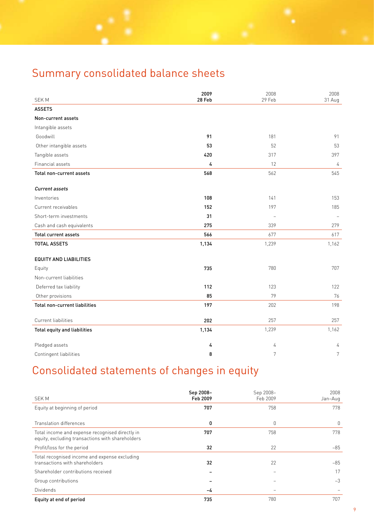# Summary consolidated balance sheets

|                               | 2009           | 2008   | 2008           |
|-------------------------------|----------------|--------|----------------|
| <b>SEKM</b>                   | 28 Feb         | 29 Feb | 31 Aug         |
| <b>ASSETS</b>                 |                |        |                |
| Non-current assets            |                |        |                |
| Intangible assets             |                |        |                |
| Goodwill                      | 91             | 181    | 91             |
| Other intangible assets       | 53             | 52     | 53             |
| Tangible assets               | 420            | 317    | 397            |
| Financial assets              | $\overline{4}$ | 12     | $\sqrt{4}$     |
| Total non-current assets      | 568            | 562    | 545            |
| <b>Current assets</b>         |                |        |                |
| Inventories                   | 108            | 141    | 153            |
| Current receivables           | 152            | 197    | 185            |
| Short-term investments        | 31             |        |                |
| Cash and cash equivalents     | 275            | 339    | 279            |
| <b>Total current assets</b>   | 566            | 677    | 617            |
| <b>TOTAL ASSETS</b>           | 1,134          | 1,239  | 1,162          |
| <b>EQUITY AND LIABILITIES</b> |                |        |                |
| Equity                        | 735            | 780    | 707            |
| Non-current liabilities       |                |        |                |
| Deferred tax liability        | 112            | 123    | 122            |
| Other provisions              | 85             | 79     | 76             |
| Total non-current liabilities | 197            | 202    | 198            |
| Current liabilities           | 202            | 257    | 257            |
| Total equity and liabilities  | 1,134          | 1,239  | 1,162          |
| Pledged assets                | 4              | 4      | 4              |
| Contingent liabilities        | 8              | 7      | $\overline{7}$ |

# Consolidated statements of changes in equity

|                                                                                                     | Sep 2008- | Sep 2008- | 2008    |
|-----------------------------------------------------------------------------------------------------|-----------|-----------|---------|
| <b>SEK M</b>                                                                                        | Feb 2009  | Feb 2009  | Jan-Aug |
| Equity at beginning of period                                                                       | 707       | 758       | 778     |
|                                                                                                     |           |           |         |
| Translation differences                                                                             | 0         | 0         | 0       |
| Total income and expense recognised directly in<br>equity, excluding transactions with shareholders | 707       | 758       | 778     |
| Profit/loss for the period                                                                          | 32        | 22        | $-85$   |
| Total recognised income and expense excluding<br>transactions with shareholders                     | 32        | 22        | $-85$   |
| Shareholder contributions received                                                                  |           |           | 17      |
| Group contributions                                                                                 |           |           | $-3$    |
| <b>Dividends</b>                                                                                    | -4        |           |         |
| Equity at end of period                                                                             | 735       | 780       | 707     |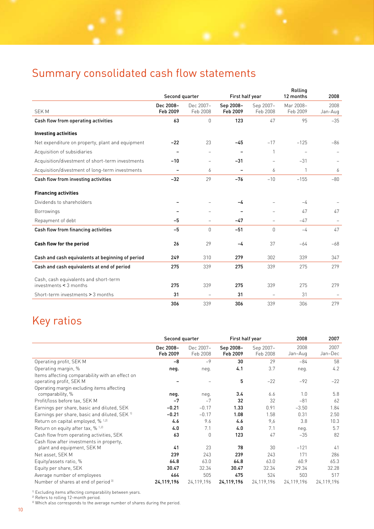# Summary consolidated cash flow statements

|                                                                 | First half year<br>Second quarter |                          | Rolling<br>12 months     |                          |                       | 2008            |
|-----------------------------------------------------------------|-----------------------------------|--------------------------|--------------------------|--------------------------|-----------------------|-----------------|
| <b>SEKM</b>                                                     | Dec 2008-<br>Feb 2009             | Dec 2007-<br>Feb 2008    | Sep 2008-<br>Feb 2009    | Sep 2007-<br>Feb 2008    | Mar 2008-<br>Feb 2009 | 2008<br>Jan-Aug |
| Cash flow from operating activities                             | 63                                | $\Omega$                 | 123                      | 47                       | 95                    | $-35$           |
| <b>Investing activities</b>                                     |                                   |                          |                          |                          |                       |                 |
| Net expenditure on property, plant and equipment                | $-22$                             | 23                       | $-45$                    | $-17$                    | $-125$                | $-86$           |
| Acquisition of subsidiaries                                     |                                   |                          |                          | 1                        |                       |                 |
| Acquisition/divestment of short-term investments                | $-10$                             | $\overline{\phantom{0}}$ | $-31$                    | $\overline{\phantom{a}}$ | $-31$                 |                 |
| Acquisition/divestment of long-term investments                 | $\overline{\phantom{0}}$          | 6                        | $\overline{\phantom{0}}$ | 6                        | $\mathbf{1}$          | 6               |
| Cash flow from investing activities                             | $-32$                             | 29                       | $-76$                    | $-10$                    | $-155$                | $-80$           |
| <b>Financing activities</b>                                     |                                   |                          |                          |                          |                       |                 |
| Dividends to shareholders                                       |                                   |                          | -4                       |                          | $-4$                  |                 |
| <b>Borrowings</b>                                               |                                   | $\overline{\phantom{0}}$ | $\overline{\phantom{a}}$ | $\overline{\phantom{a}}$ | 47                    | 47              |
| Repayment of debt                                               | $-5$                              | $\overline{\phantom{0}}$ | $-47$                    | $\overline{\phantom{0}}$ | $-47$                 |                 |
| Cash flow from financing activities                             | $-5$                              | $\Omega$                 | $-51$                    | $\Omega$                 | $-4$                  | 47              |
| Cash flow for the period                                        | 26                                | 29                       | -4                       | 37                       | $-64$                 | $-68$           |
| Cash and cash equivalents at beginning of period                | 249                               | 310                      | 279                      | 302                      | 339                   | 347             |
| Cash and cash equivalents at end of period                      | 275                               | 339                      | 275                      | 339                      | 275                   | 279             |
| Cash, cash equivalents and short-term<br>investments < 3 months | 275                               | 339                      | 275                      | 339                      | 275                   | 279             |
| Short-term investments > 3 months                               | 31                                | $\overline{\phantom{0}}$ | 31                       | $\overline{\phantom{0}}$ | 31                    |                 |
|                                                                 | 306                               | 339                      | 306                      | 339                      | 306                   | 279             |

# Key ratios

|                                                                                                                          |                       | First half year<br>Second quarter |                       |                       | 2008            | 2007            |
|--------------------------------------------------------------------------------------------------------------------------|-----------------------|-----------------------------------|-----------------------|-----------------------|-----------------|-----------------|
|                                                                                                                          | Dec 2008-<br>Feb 2009 | Dec 2007-<br>Feb 2008             | Sep 2008-<br>Feb 2009 | Sep 2007-<br>Feb 2008 | 2008<br>Jan-Aug | 2007<br>Jan-Dec |
| Operating profit, SEK M                                                                                                  | $-8$                  | $-9$                              | 30                    | 29                    | $-84$           | 58              |
| Operating margin, %                                                                                                      | neg.                  | neg.                              | 4.1                   | 3.7                   | neg.            | 4.2             |
| Items affecting comparability with an effect on<br>operating profit, SEK M<br>Operating margin excluding items affecting |                       |                                   | 5                     | $-22$                 | $-92$           | $-22$           |
| comparability, %                                                                                                         | neg.                  | neg.                              | 3.4                   | 6.6                   | 1.0             | 5.8             |
| Profit/loss before tax, SEK M                                                                                            | $-7$                  | $-7$                              | 32                    | 32                    | $-81$           | 62              |
| Earnings per share, basic and diluted, SEK                                                                               | $-0.21$               | $-0.17$                           | 1.33                  | 0.91                  | $-3.50$         | 1.84            |
| Earnings per share, basic and diluted, SEK 11                                                                            | $-0.21$               | $-0.17$                           | 1.08                  | 1.58                  | 0.31            | 2.50            |
| Return on capital employed, % 1,21                                                                                       | 4.6                   | 9.6                               | 4.6                   | 9,6                   | 3.8             | 10.3            |
| Return on equity after tax, $\%$ <sup>1,2)</sup>                                                                         | 4.0                   | 7.1                               | 4.0                   | 7.1                   | neg.            | 5.7             |
| Cash flow from operating activities, SEK                                                                                 | 63                    | $\mathbf 0$                       | 123                   | 47                    | $-35$           | 82              |
| Cash flow after investments in property,                                                                                 |                       |                                   |                       |                       |                 |                 |
| plant and equipment, SEK M                                                                                               | 41                    | 23                                | 78                    | 30                    | $-121$          | 41              |
| Net asset, SEK M                                                                                                         | 239                   | 243                               | 239                   | 243                   | 171             | 286             |
| Equity/assets ratio, %                                                                                                   | 64.8                  | 63.0                              | 64.8                  | 63.0                  | 60.9            | 65.3            |
| Equity per share, SEK                                                                                                    | 30.47                 | 32.34                             | 30.47                 | 32.34                 | 29.34           | 32.28           |
| Average number of employees                                                                                              | 464                   | 505                               | 475                   | 524                   | 503             | 517             |
| Number of shares at end of period <sup>31</sup>                                                                          | 24,119,196            | 24,119,196                        | 24,119,196            | 24, 119, 196          | 24,119,196      | 24,119,196      |

<sup>1)</sup> Excluding items affecting comparability between years.

2) Refers to rolling 12-month period.

<sup>3)</sup> Which also corresponds to the average number of shares during the period.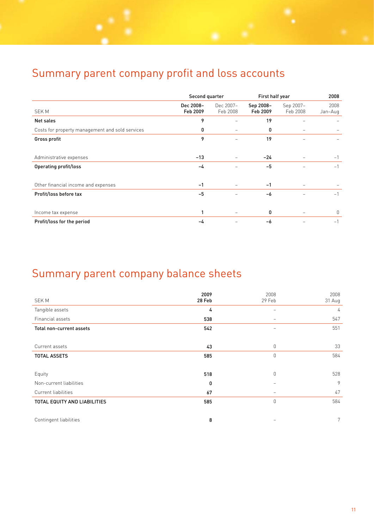# Summary parent company profit and loss accounts

|                                                 | Second quarter        |                          |                       | First half year       |                 |
|-------------------------------------------------|-----------------------|--------------------------|-----------------------|-----------------------|-----------------|
| <b>SEKM</b>                                     | Dec 2008-<br>Feb 2009 | Dec 2007-<br>Feb 2008    | Sep 2008-<br>Feb 2009 | Sep 2007-<br>Feb 2008 | 2008<br>Jan-Aug |
| Net sales                                       | 9                     |                          | 19                    |                       |                 |
| Costs for property management and sold services | 0                     | $\overline{\phantom{0}}$ | 0                     |                       |                 |
| Gross profit                                    | 9                     | -                        | 19                    |                       |                 |
|                                                 |                       |                          |                       |                       |                 |
| Administrative expenses                         | $-13$                 | -                        | $-24$                 |                       | $-1$            |
| Operating profit/loss                           | -4                    |                          | $-5$                  |                       | $-1$            |
|                                                 |                       |                          |                       |                       |                 |
| Other financial income and expenses             | $-1$                  |                          | $-1$                  |                       |                 |
| Profit/loss before tax                          | $-5$                  |                          | $-6$                  |                       | $-1$            |
|                                                 |                       |                          |                       |                       |                 |
| Income tax expense                              | 1                     | $\qquad \qquad -$        | 0                     |                       | 0               |
| Profit/loss for the period                      | -4                    |                          | -6                    |                       | $-1$            |

# Summary parent company balance sheets

| <b>SEKM</b>                         | 2009<br>28 Feb | 2008<br>29 Feb           | 2008<br>31 Aug |
|-------------------------------------|----------------|--------------------------|----------------|
| Tangible assets                     | 4              | $\overline{\phantom{0}}$ | 4              |
| Financial assets                    | 538            | $\qquad \qquad -$        | 547            |
| Total non-current assets            | 542            |                          | 551            |
|                                     |                |                          |                |
| Current assets                      | 43             | $\mathbb O$              | 33             |
| <b>TOTAL ASSETS</b>                 | 585            | $\overline{0}$           | 584            |
|                                     |                |                          |                |
| Equity                              | 518            | $\overline{0}$           | 528            |
| Non-current liabilities             | 0              |                          | 9              |
| Current liabilities                 | 67             | $\qquad \qquad =$        | 47             |
| <b>TOTAL EQUITY AND LIABILITIES</b> | 585            | $\overline{0}$           | 584            |
|                                     |                |                          |                |
| Contingent liabilities              | 8              |                          | $7^{\circ}$    |